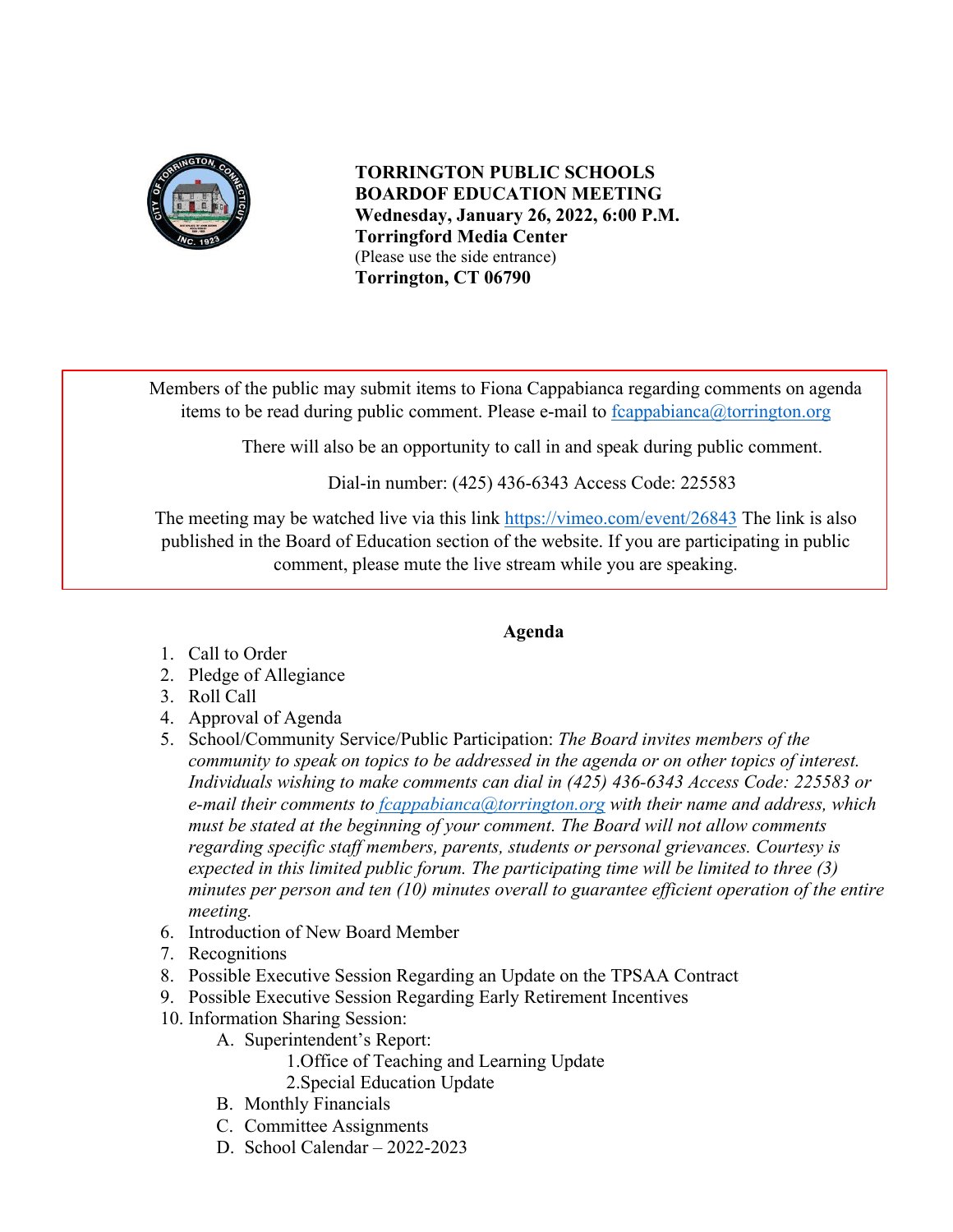

**TORRINGTON PUBLIC SCHOOLS BOARDOF EDUCATION MEETING Wednesday, January 26, 2022, 6:00 P.M. Torringford Media Center** (Please use the side entrance) **Torrington, CT 06790**

Members of the public may submit items to Fiona Cappabianca regarding comments on agenda items to be read during public comment. Please e-mail to  $f_{\text{c}appabinca}(\hat{\omega}_{\text{t}orrington.org})$ 

There will also be an opportunity to call in and speak during public comment.

Dial-in number: (425) 436-6343 Access Code: 225583

The meeting may be watched live via this link<https://vimeo.com/event/26843> The link is also published in the Board of Education section of the website. If you are participating in public comment, please mute the live stream while you are speaking.

## **Agenda**

- 1. Call to Order
- 2. Pledge of Allegiance
- 3. Roll Call
- 4. Approval of Agenda
- 5. School/Community Service/Public Participation: *The Board invites members of the community to speak on topics to be addressed in the agenda or on other topics of interest. Individuals wishing to make comments can dial in (425) 436-6343 Access Code: 225583 or e-mail their comments to [fcappabianca@torrington.org](mailto:fcappabianca@torrington.org) with their name and address, which must be stated at the beginning of your comment. The Board will not allow comments regarding specific staff members, parents, students or personal grievances. Courtesy is expected in this limited public forum. The participating time will be limited to three (3) minutes per person and ten (10) minutes overall to guarantee efficient operation of the entire meeting.*
- 6. Introduction of New Board Member
- 7. Recognitions
- 8. Possible Executive Session Regarding an Update on the TPSAA Contract
- 9. Possible Executive Session Regarding Early Retirement Incentives
- 10. Information Sharing Session:
	- A. Superintendent's Report:
		- 1.Office of Teaching and Learning Update
		- 2.Special Education Update
	- B. Monthly Financials
	- C. Committee Assignments
	- D. School Calendar 2022-2023